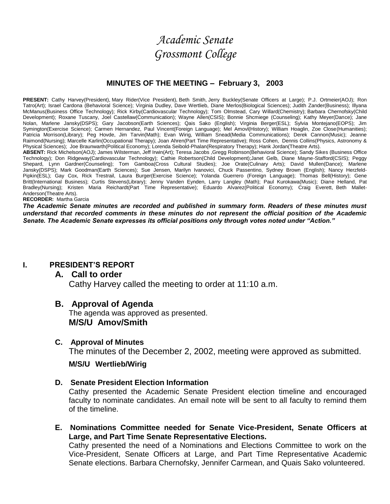# *Academic Senate Grossmont College*

#### **MINUTES OF THE MEETING – February 3, 2003**

**PRESENT:** Cathy Harvey(President), Mary Rider(Vice President), Beth Smith, Jerry Buckley(Senate Officers at Large); P.J. Ortmeier(AOJ); Ron Tatro(Art); Israel Cardona (Behavioral Science); Virginia Dudley, Dave Wertlieb, Diane Merlos(Biological Sciences); Judith Zander(Business); Illyana McManus(Business Office Technology); Rick Kirby(Cardiovascular Technology); Tom Olmstead, Cary Willard(Chemistry); Barbara Chernofsky(Child Development); Roxane Tuscany, Joel Castellaw(Communication); Wayne Allen(CSIS); Bonnie Shcmiege (Counseling); Kathy Meyer(Dance); Jane Nolan, Marlene Jansky(DSPS); Gary Jacobson(Earth Sciences); Qais Sako (English); Virginia Berger(ESL); Sylvia Montejano(EOPS); Jim Symington(Exercise Science); Carmen Hernandez, Paul Vincent(Foreign Language); Mel Amovl(History); William Hoaglin, Zoe Close(Humanities); Patricia Morrison(Library); Peg Hovde, Jim Tarvin(Math); Evan Wirig, William Snead(Media Communications); Derek Cannon(Music); Jeanne Raimond(Nursing); Marcelle Karlin(Occupational Therapy); Joan Ahren(Part Time Representative); Ross Cohen, Dennis Collins(Physics, Astronomy & Physical Sciences); Joe Braunwarth(Political Economy); Lorenda Seibold-Phalan(Respiratory Therapy); Hank Jordan(Theatre Arts).

**ABSENT:** Rick Michelson(AOJ); James Wilsterman, Jeff Irwin(Art); Teresa Jacobs ,Gregg Robinson(Behavioral Science); Sandy Sikes (Business Office Technology); Don Ridgeway(Cardiovascular Technology); Cathie Robertson(Child Development);Janet Gelb, Diane Mayne-Stafford(CSIS); Peggy Shepard, Lynn Gardner(Counseling); Tom Gamboa(Cross Cultural Studies); Joe Orate(Culinary Arts); David Mullen(Dance); Marlene Jansky(DSPS); Mark Goodman(Earth Sciences); Sue Jensen, Marilyn Ivanovici, Chuck Passentino, Sydney Brown (English); Nancy Herzfeld-Pipkin(ESL); Gay Cox, Rick Trestrail, Laura Burger(Exercise Science); Yolanda Guerrero (Foreign Language); Thomas Bell(History); Gene Britt(International Business); Curtis Stevens(Library); Jenny Vanden Eynden, Larry Langley (Math); Paul Kurokawa(Music); Diane Helland, Pat Bradley(Nursing); Kristen Maria Reichardt(Part Time Representative); Eduardo Alvarez(Political Economy); Craig Everett, Beth Mallet-Anderson(Theatre Arts).

**RECORDER:** Martha Garcia

*The Academic Senate minutes are recorded and published in summary form. Readers of these minutes must understand that recorded comments in these minutes do not represent the official position of the Academic Senate. The Academic Senate expresses its official positions only through votes noted under "Action."*

#### **I. PRESIDENT'S REPORT**

### **A. Call to order**

Cathy Harvey called the meeting to order at 11:10 a.m.

### **B. Approval of Agenda**

The agenda was approved as presented. **M/S/U Amov/Smith** 

#### **C. Approval of Minutes**

The minutes of the December 2, 2002, meeting were approved as submitted.

#### **M/S/U Wertlieb/Wirig**

#### **D. Senate President Election Information**

Cathy presented the Academic Senate President election timeline and encouraged faculty to nominate candidates. An email note will be sent to all faculty to remind them of the timeline.

**E. Nominations Committee needed for Senate Vice-President, Senate Officers at Large, and Part Time Senate Representative Elections.**

Cathy presented the need of a Nominations and Elections Committee to work on the Vice-President, Senate Officers at Large, and Part Time Representative Academic Senate elections. Barbara Chernofsky, Jennifer Carmean, and Quais Sako volunteered.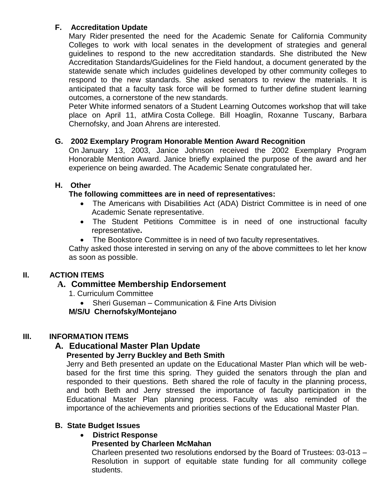# **F. Accreditation Update**

Mary Rider presented the need for the Academic Senate for California Community Colleges to work with local senates in the development of strategies and general guidelines to respond to the new accreditation standards. She distributed the New Accreditation Standards/Guidelines for the Field handout, a document generated by the statewide senate which includes guidelines developed by other community colleges to respond to the new standards. She asked senators to review the materials. It is anticipated that a faculty task force will be formed to further define student learning outcomes, a cornerstone of the new standards.

Peter White informed senators of a Student Learning Outcomes workshop that will take place on April 11, atMira Costa College. Bill Hoaglin, Roxanne Tuscany, Barbara Chernofsky, and Joan Ahrens are interested.

# **G. 2002 Exemplary Program Honorable Mention Award Recognition**

On January 13, 2003, Janice Johnson received the 2002 Exemplary Program Honorable Mention Award. Janice briefly explained the purpose of the award and her experience on being awarded. The Academic Senate congratulated her.

# **H. Other**

# **The following committees are in need of representatives:**

- The Americans with Disabilities Act (ADA) District Committee is in need of one Academic Senate representative.
- The Student Petitions Committee is in need of one instructional faculty representative**.**
- The Bookstore Committee is in need of two faculty representatives.

Cathy asked those interested in serving on any of the above committees to let her know as soon as possible.

# **II. ACTION ITEMS**

# **A. Committee Membership Endorsement**

- 1. Curriculum Committee
	- Sheri Guseman Communication & Fine Arts Division

**M/S/U Chernofsky/Montejano**

# **III. INFORMATION ITEMS**

# **A. Educational Master Plan Update**

# **Presented by Jerry Buckley and Beth Smith**

Jerry and Beth presented an update on the Educational Master Plan which will be webbased for the first time this spring. They guided the senators through the plan and responded to their questions. Beth shared the role of faculty in the planning process, and both Beth and Jerry stressed the importance of faculty participation in the Educational Master Plan planning process. Faculty was also reminded of the importance of the achievements and priorities sections of the Educational Master Plan.

# **B. State Budget Issues**

# **District Response**

# **Presented by Charleen McMahan**

Charleen presented two resolutions endorsed by the Board of Trustees: 03-013 – Resolution in support of equitable state funding for all community college students.